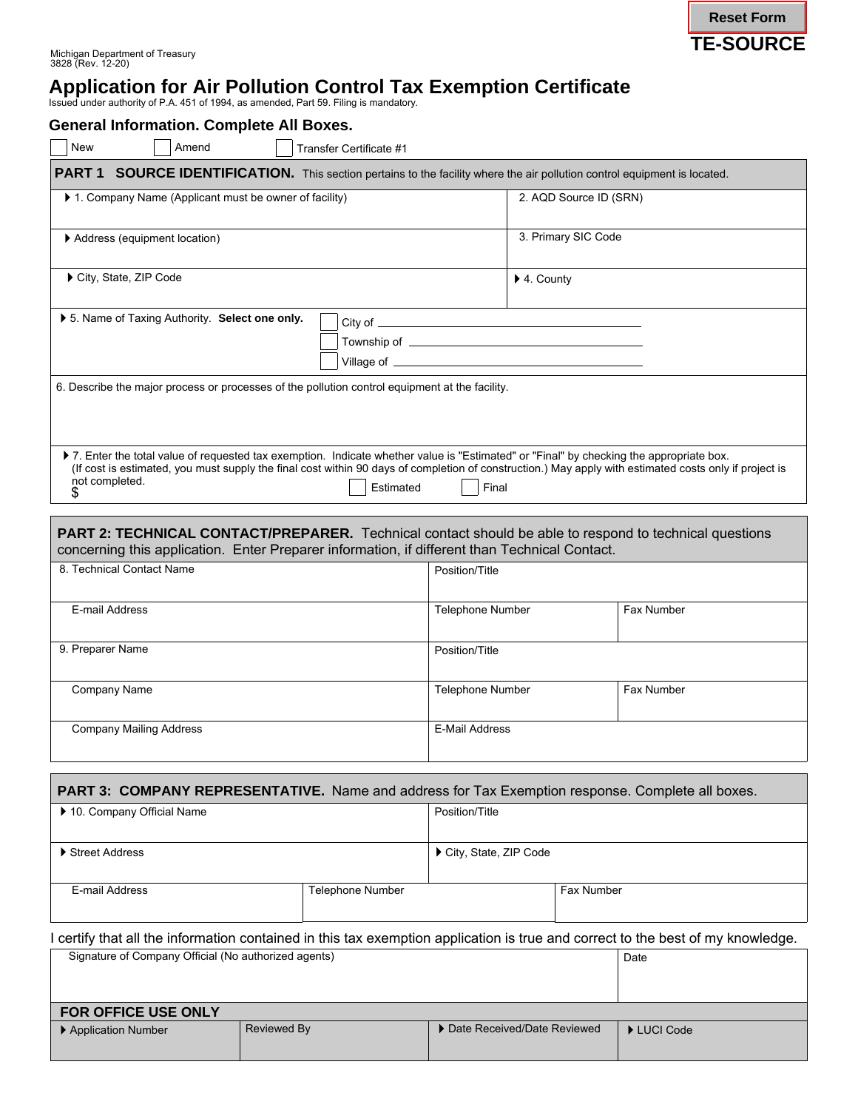

# **Application for Air Pollution Control Tax Exemption Certificate**

Issued under authority of P.A. 451 of 1994, as amended, Part 59. Filing is mandatory.

| <b>General Information. Complete All Boxes.</b>                                                                                                                                                                |             |                         |                                       |                        |            |                                                                                                                                                        |
|----------------------------------------------------------------------------------------------------------------------------------------------------------------------------------------------------------------|-------------|-------------------------|---------------------------------------|------------------------|------------|--------------------------------------------------------------------------------------------------------------------------------------------------------|
| Amend<br>New                                                                                                                                                                                                   |             | Transfer Certificate #1 |                                       |                        |            |                                                                                                                                                        |
| PART 1 SOURCE IDENTIFICATION. This section pertains to the facility where the air pollution control equipment is located.                                                                                      |             |                         |                                       |                        |            |                                                                                                                                                        |
| 1. Company Name (Applicant must be owner of facility)                                                                                                                                                          |             |                         |                                       | 2. AQD Source ID (SRN) |            |                                                                                                                                                        |
| Address (equipment location)                                                                                                                                                                                   |             | 3. Primary SIC Code     |                                       |                        |            |                                                                                                                                                        |
| City, State, ZIP Code                                                                                                                                                                                          |             |                         |                                       | ▶ 4. County            |            |                                                                                                                                                        |
| ▶ 5. Name of Taxing Authority. Select one only.<br>6. Describe the major process or processes of the pollution control equipment at the facility.                                                              |             |                         |                                       |                        |            |                                                                                                                                                        |
| > 7. Enter the total value of requested tax exemption. Indicate whether value is "Estimated" or "Final" by checking the appropriate box.                                                                       |             |                         |                                       |                        |            |                                                                                                                                                        |
| not completed.<br>S.                                                                                                                                                                                           |             | Estimated               | Final                                 |                        |            | (If cost is estimated, you must supply the final cost within 90 days of completion of construction.) May apply with estimated costs only if project is |
| <b>PART 2: TECHNICAL CONTACT/PREPARER.</b> Technical contact should be able to respond to technical questions<br>concerning this application. Enter Preparer information, if different than Technical Contact. |             |                         |                                       |                        |            |                                                                                                                                                        |
| 8. Technical Contact Name                                                                                                                                                                                      |             |                         | Position/Title                        |                        |            |                                                                                                                                                        |
| E-mail Address                                                                                                                                                                                                 |             |                         | Telephone Number                      |                        |            | Fax Number                                                                                                                                             |
| 9. Preparer Name                                                                                                                                                                                               |             |                         | Position/Title                        |                        |            |                                                                                                                                                        |
| Company Name                                                                                                                                                                                                   |             |                         | <b>Telephone Number</b><br>Fax Number |                        |            |                                                                                                                                                        |
| <b>Company Mailing Address</b>                                                                                                                                                                                 |             |                         | <b>E-Mail Address</b>                 |                        |            |                                                                                                                                                        |
|                                                                                                                                                                                                                |             |                         |                                       |                        |            |                                                                                                                                                        |
| <b>PART 3: COMPANY REPRESENTATIVE.</b> Name and address for Tax Exemption response. Complete all boxes.<br>10. Company Official Name                                                                           |             | Position/Title          |                                       |                        |            |                                                                                                                                                        |
| Street Address                                                                                                                                                                                                 |             |                         | City, State, ZIP Code                 |                        |            |                                                                                                                                                        |
| E-mail Address                                                                                                                                                                                                 |             | Telephone Number        |                                       |                        | Fax Number |                                                                                                                                                        |
| I certify that all the information contained in this tax exemption application is true and correct to the best of my knowledge.<br>Signature of Company Official (No authorized agents)                        |             |                         |                                       |                        |            | Date                                                                                                                                                   |
| FOR OFFICE USE ONLY                                                                                                                                                                                            |             |                         |                                       |                        |            |                                                                                                                                                        |
| Application Number                                                                                                                                                                                             | Reviewed By |                         | Date Received/Date Reviewed           |                        |            | LUCI Code                                                                                                                                              |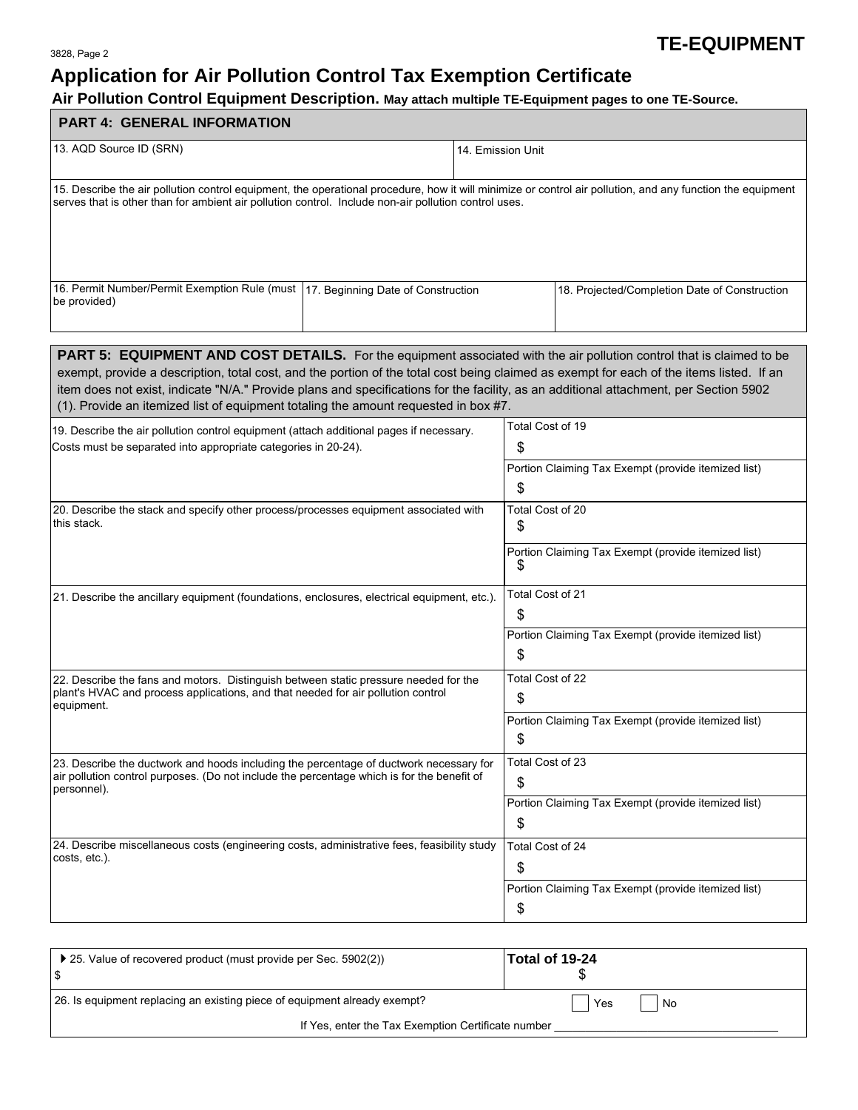# **Application for Air Pollution Control Tax Exemption Certificate**

# **Air Pollution Control Equipment Description. May attach multiple TE-Equipment pages to one TE-Source.**

| perorii may anaon manipio TE Equipmont pagoo to ono TE<br><b>PART 4: GENERAL INFORMATION</b>                                                                                                                                                                                                                                                                                                                                                                                                             |                                                                                     |  |  |  |
|----------------------------------------------------------------------------------------------------------------------------------------------------------------------------------------------------------------------------------------------------------------------------------------------------------------------------------------------------------------------------------------------------------------------------------------------------------------------------------------------------------|-------------------------------------------------------------------------------------|--|--|--|
| 13. AQD Source ID (SRN)                                                                                                                                                                                                                                                                                                                                                                                                                                                                                  | 14. Emission Unit                                                                   |  |  |  |
| 15. Describe the air pollution control equipment, the operational procedure, how it will minimize or control air pollution, and any function the equipment<br>serves that is other than for ambient air pollution control. Include non-air pollution control uses.                                                                                                                                                                                                                                       |                                                                                     |  |  |  |
| 16. Permit Number/Permit Exemption Rule (must   17. Beginning Date of Construction<br>be provided)                                                                                                                                                                                                                                                                                                                                                                                                       | 18. Projected/Completion Date of Construction                                       |  |  |  |
| <b>PART 5: EQUIPMENT AND COST DETAILS.</b> For the equipment associated with the air pollution control that is claimed to be<br>exempt, provide a description, total cost, and the portion of the total cost being claimed as exempt for each of the items listed. If an<br>item does not exist, indicate "N/A." Provide plans and specifications for the facility, as an additional attachment, per Section 5902<br>(1). Provide an itemized list of equipment totaling the amount requested in box #7. |                                                                                     |  |  |  |
| 19. Describe the air pollution control equipment (attach additional pages if necessary.<br>Costs must be separated into appropriate categories in 20-24).                                                                                                                                                                                                                                                                                                                                                | Total Cost of 19<br>\$<br>Portion Claiming Tax Exempt (provide itemized list)<br>\$ |  |  |  |
| 20. Describe the stack and specify other process/processes equipment associated with<br>this stack.                                                                                                                                                                                                                                                                                                                                                                                                      | Total Cost of 20<br>\$<br>Portion Claiming Tax Exempt (provide itemized list)<br>S  |  |  |  |
| 21. Describe the ancillary equipment (foundations, enclosures, electrical equipment, etc.).                                                                                                                                                                                                                                                                                                                                                                                                              | Total Cost of 21<br>\$<br>Portion Claiming Tax Exempt (provide itemized list)<br>\$ |  |  |  |
| 22. Describe the fans and motors. Distinguish between static pressure needed for the<br>plant's HVAC and process applications, and that needed for air pollution control<br>equipment.                                                                                                                                                                                                                                                                                                                   | Total Cost of 22<br>\$<br>Portion Claiming Tax Exempt (provide itemized list)<br>\$ |  |  |  |
| 23. Describe the ductwork and hoods including the percentage of ductwork necessary for<br>air pollution control purposes. (Do not include the percentage which is for the benefit of<br>personnel).                                                                                                                                                                                                                                                                                                      | Total Cost of 23<br>\$<br>Portion Claiming Tax Exempt (provide itemized list)<br>\$ |  |  |  |
| 24. Describe miscellaneous costs (engineering costs, administrative fees, feasibility study<br>costs, etc.).                                                                                                                                                                                                                                                                                                                                                                                             | Total Cost of 24<br>\$<br>Portion Claiming Tax Exempt (provide itemized list)<br>\$ |  |  |  |

| ▶ 25. Value of recovered product (must provide per Sec. 5902(2))<br>ا \$  | Total of 19-24 |  |  |  |
|---------------------------------------------------------------------------|----------------|--|--|--|
| 26. Is equipment replacing an existing piece of equipment already exempt? | Yes<br>No      |  |  |  |
| If Yes, enter the Tax Exemption Certificate number                        |                |  |  |  |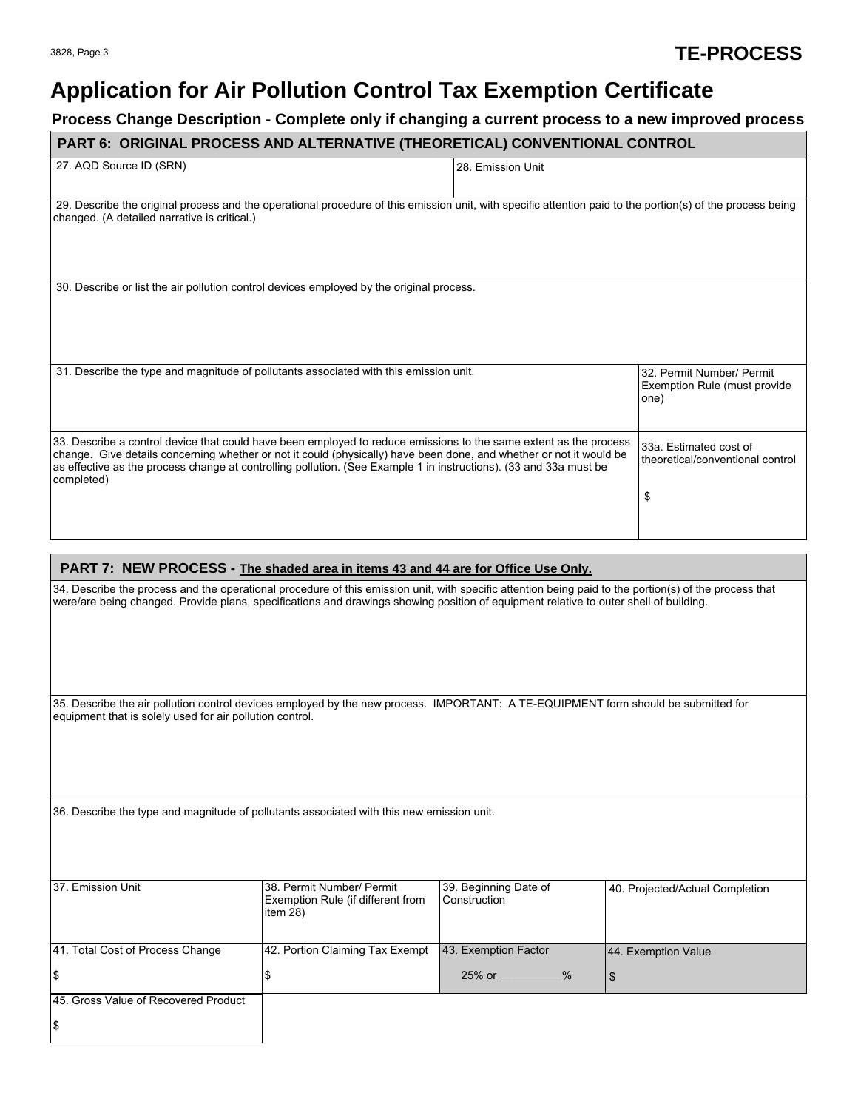# **Application for Air Pollution Control Tax Exemption Certificate**

# **Process Change Description - Complete only if changing a current process to a new improved process**

| PART 6: ORIGINAL PROCESS AND ALTERNATIVE (THEORETICAL) CONVENTIONAL CONTROL                                                                                                                                                                                                                                                                                                 |                                   |                                  |  |  |
|-----------------------------------------------------------------------------------------------------------------------------------------------------------------------------------------------------------------------------------------------------------------------------------------------------------------------------------------------------------------------------|-----------------------------------|----------------------------------|--|--|
| 27. AQD Source ID (SRN)                                                                                                                                                                                                                                                                                                                                                     | 28. Emission Unit                 |                                  |  |  |
| 29. Describe the original process and the operational procedure of this emission unit, with specific attention paid to the portion(s) of the process being<br>changed. (A detailed narrative is critical.)                                                                                                                                                                  |                                   |                                  |  |  |
| 30. Describe or list the air pollution control devices employed by the original process.                                                                                                                                                                                                                                                                                    |                                   |                                  |  |  |
| 31. Describe the type and magnitude of pollutants associated with this emission unit.                                                                                                                                                                                                                                                                                       | 32. Permit Number/ Permit<br>one) | Exemption Rule (must provide)    |  |  |
| 33. Describe a control device that could have been employed to reduce emissions to the same extent as the process<br>change. Give details concerning whether or not it could (physically) have been done, and whether or not it would be<br>as effective as the process change at controlling pollution. (See Example 1 in instructions). (33 and 33a must be<br>completed) | 33a. Estimated cost of<br>\$      | theoretical/conventional control |  |  |

#### **PART 7: NEW PROCESS - The shaded area in items 43 and 44 are for Office Use Only.**

34. Describe the process and the operational procedure of this emission unit, with specific attention being paid to the portion(s) of the process that were/are being changed. Provide plans, specifications and drawings showing position of equipment relative to outer shell of building.

35. Describe the air pollution control devices employed by the new process. IMPORTANT: A TE-EQUIPMENT form should be submitted for equipment that is solely used for air pollution control.

36. Describe the type and magnitude of pollutants associated with this new emission unit.

| 37. Emission Unit                     | I38. Permit Number/ Permit<br>Exemption Rule (if different from<br>item 28) | 39. Beginning Date of<br>Construction | 40. Projected/Actual Completion |
|---------------------------------------|-----------------------------------------------------------------------------|---------------------------------------|---------------------------------|
| 41. Total Cost of Process Change      | 42. Portion Claiming Tax Exempt                                             | 43. Exemption Factor                  | 44. Exemption Value             |
| \$                                    |                                                                             | $25%$ or<br>$\%$                      |                                 |
| 145. Gross Value of Recovered Product |                                                                             |                                       |                                 |
| \$                                    |                                                                             |                                       |                                 |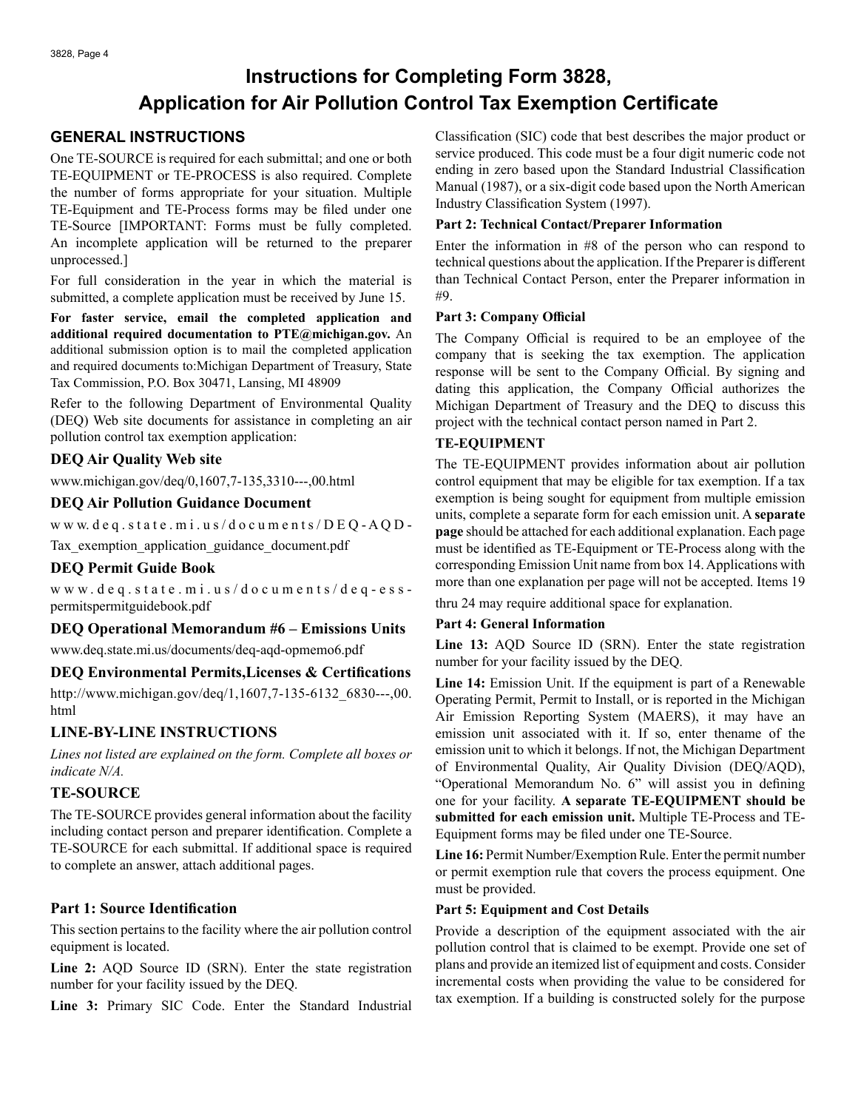# **Instructions for Completing Form 3828, Application for Air Pollution Control Tax Exemption Certificate**

# **GENERAL INSTRUCTIONS**

One TE-SOURCE is required for each submittal; and one or both TE-EQUIPMENT or TE-PROCESS is also required. Complete the number of forms appropriate for your situation. Multiple TE-Equipment and TE-Process forms may be filed under one TE-Source [IMPORTANT: Forms must be fully completed. An incomplete application will be returned to the preparer unprocessed.]

For full consideration in the year in which the material is submitted, a complete application must be received by June 15.

**For faster service, email the completed application and additional required documentation to PTE@michigan.gov.** An additional submission option is to mail the completed application and required documents to:Michigan Department of Treasury, State Tax Commission, P.O. Box 30471, Lansing, MI 48909

Refer to the following Department of Environmental Quality (DEQ) Web site documents for assistance in completing an air pollution control tax exemption application:

### **DEQ Air Quality Web site**

www.michigan.gov/deq/0,1607,7-135,3310---,00.html

### **DEQ Air Pollution Guidance Document**

www.deq.state.mi.us/documents/ $DEQ$ -AQD-

Tax exemption application guidance document.pdf

# **DEQ Permit Guide Book**

www.deq.state.mi.us/documents/deq-esspermitspermitguidebook.pdf

# **DEQ Operational Memorandum #6 – Emissions Units**

www.deq.state.mi.us/documents/deq-aqd-opmemo6.pdf

# **DEQ Environmental Permits,Licenses & Certifications**

http://www.michigan.gov/deq/1,1607,7-135-6132\_6830---,00. html

# **LINE-BY-LINE INSTRUCTIONS**

*Lines not listed are explained on the form. Complete all boxes or indicate N/A.*

# **TE-SOURCE**

The TE-SOURCE provides general information about the facility including contact person and preparer identification. Complete a TE-SOURCE for each submittal. If additional space is required to complete an answer, attach additional pages.

# **Part 1: Source Identification**

This section pertains to the facility where the air pollution control equipment is located.

**Line 2:** AQD Source ID (SRN). Enter the state registration number for your facility issued by the DEQ.

**Line 3:** Primary SIC Code. Enter the Standard Industrial

Classification (SIC) code that best describes the major product or service produced. This code must be a four digit numeric code not ending in zero based upon the Standard Industrial Classification Manual (1987), or a six-digit code based upon the North American Industry Classification System (1997).

#### **Part 2: Technical Contact/Preparer Information**

Enter the information in #8 of the person who can respond to technical questions about the application. If the Preparer is different than Technical Contact Person, enter the Preparer information in #9.

#### **Part 3: Company Official**

The Company Official is required to be an employee of the company that is seeking the tax exemption. The application response will be sent to the Company Official. By signing and dating this application, the Company Official authorizes the Michigan Department of Treasury and the DEQ to discuss this project with the technical contact person named in Part 2.

#### **TE-EQUIPMENT**

The TE-EQUIPMENT provides information about air pollution control equipment that may be eligible for tax exemption. If a tax exemption is being sought for equipment from multiple emission units, complete a separate form for each emission unit. A **separate page** should be attached for each additional explanation. Each page must be identified as TE-Equipment or TE-Process along with the corresponding Emission Unit name from box 14. Applications with more than one explanation per page will not be accepted. Items 19

thru 24 may require additional space for explanation.

#### **Part 4: General Information**

**Line 13:** AQD Source ID (SRN). Enter the state registration number for your facility issued by the DEQ.

**Line 14:** Emission Unit. If the equipment is part of a Renewable Operating Permit, Permit to Install, or is reported in the Michigan Air Emission Reporting System (MAERS), it may have an emission unit associated with it. If so, enter thename of the emission unit to which it belongs. If not, the Michigan Department of Environmental Quality, Air Quality Division (DEQ/AQD), "Operational Memorandum No. 6" will assist you in defining one for your facility. **A separate TE-EQUIPMENT should be submitted for each emission unit.** Multiple TE-Process and TE-Equipment forms may be filed under one TE-Source.

**Line 16:** Permit Number/Exemption Rule. Enter the permit number or permit exemption rule that covers the process equipment. One must be provided.

#### **Part 5: Equipment and Cost Details**

Provide a description of the equipment associated with the air pollution control that is claimed to be exempt. Provide one set of plans and provide an itemized list of equipment and costs. Consider incremental costs when providing the value to be considered for tax exemption. If a building is constructed solely for the purpose